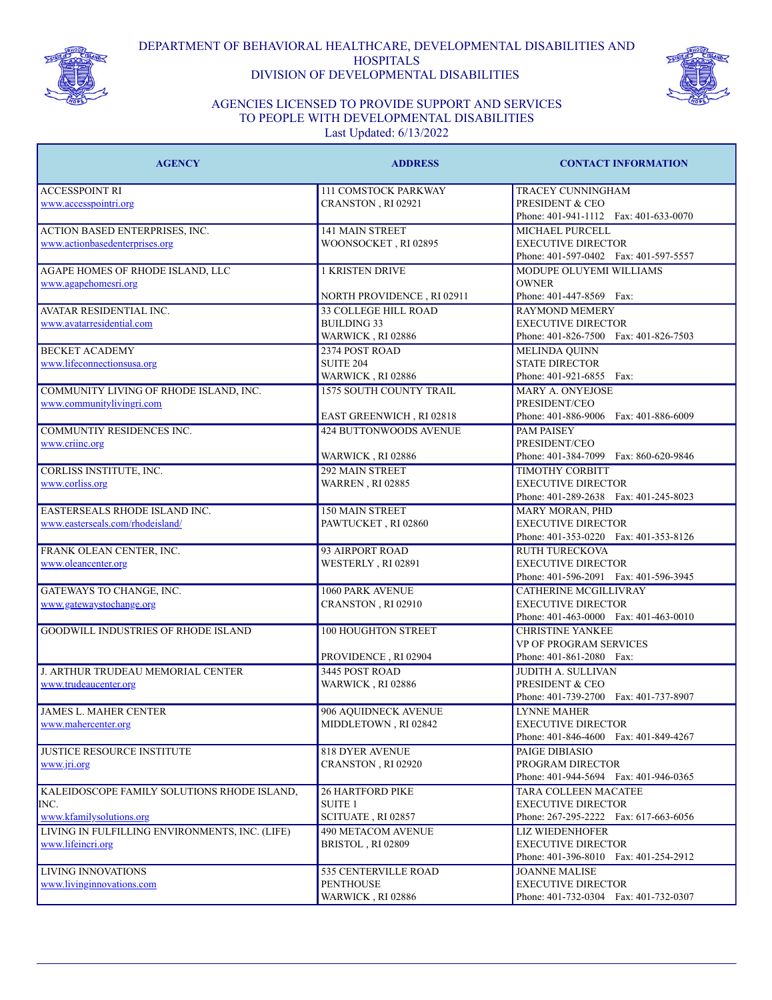

DEPARTMENT OF BEHAVIORAL HEALTHCARE, DEVELOPMENTAL DISABILITIES AND **HOSPITALS** DIVISION OF DEVELOPMENTAL DISABILITIES



## AGENCIES LICENSED TO PROVIDE SUPPORT AND SERVICES TO PEOPLE WITH DEVELOPMENTAL DISABILITIES Last Updated: 6/13/2022

| <b>AGENCY</b>                                  | <b>ADDRESS</b>                | <b>CONTACT INFORMATION</b>                          |
|------------------------------------------------|-------------------------------|-----------------------------------------------------|
| <b>ACCESSPOINT RI</b>                          | <b>111 COMSTOCK PARKWAY</b>   | TRACEY CUNNINGHAM                                   |
| www.accesspointri.org                          | CRANSTON, RI 02921            | PRESIDENT & CEO                                     |
|                                                |                               | Phone: 401-941-1112  Fax: 401-633-0070              |
| ACTION BASED ENTERPRISES, INC.                 | 141 MAIN STREET               | MICHAEL PURCELL                                     |
| www.actionbasedenterprises.org                 | WOONSOCKET, RI 02895          | <b>EXECUTIVE DIRECTOR</b>                           |
|                                                |                               | Phone: 401-597-0402 Fax: 401-597-5557               |
| AGAPE HOMES OF RHODE ISLAND, LLC               | <b>1 KRISTEN DRIVE</b>        | MODUPE OLUYEMI WILLIAMS                             |
| www.agapehomesri.org                           |                               | <b>OWNER</b>                                        |
|                                                | NORTH PROVIDENCE, RI 02911    | Phone: 401-447-8569 Fax:                            |
| <b>AVATAR RESIDENTIAL INC.</b>                 | <b>33 COLLEGE HILL ROAD</b>   | <b>RAYMOND MEMERY</b>                               |
| www.avatarresidential.com                      | <b>BUILDING 33</b>            | <b>EXECUTIVE DIRECTOR</b>                           |
|                                                | WARWICK, RI 02886             | Phone: 401-826-7500 Fax: 401-826-7503               |
| <b>BECKET ACADEMY</b>                          | 2374 POST ROAD                | MELINDA QUINN                                       |
| www.lifeconnectionsusa.org                     | <b>SUITE 204</b>              | <b>STATE DIRECTOR</b>                               |
|                                                | WARWICK, RI 02886             | Phone: 401-921-6855 Fax:                            |
| COMMUNITY LIVING OF RHODE ISLAND, INC.         | 1575 SOUTH COUNTY TRAIL       | <b>MARY A. ONYEJOSE</b>                             |
| www.communitylivingri.com                      |                               | PRESIDENT/CEO                                       |
|                                                | EAST GREENWICH, RI 02818      | Phone: 401-886-9006 Fax: 401-886-6009               |
| <b>COMMUNTIY RESIDENCES INC.</b>               | <b>424 BUTTONWOODS AVENUE</b> | <b>PAM PAISEY</b>                                   |
| www.criinc.org                                 |                               | PRESIDENT/CEO                                       |
|                                                | WARWICK, RI 02886             | Phone: 401-384-7099 Fax: 860-620-9846               |
| <b>CORLISS INSTITUTE, INC.</b>                 | 292 MAIN STREET               | <b>TIMOTHY CORBITT</b><br><b>EXECUTIVE DIRECTOR</b> |
| www.corliss.org                                | <b>WARREN, RI 02885</b>       |                                                     |
|                                                |                               | Phone: 401-289-2638 Fax: 401-245-8023               |
| EASTERSEALS RHODE ISLAND INC.                  | <b>150 MAIN STREET</b>        | MARY MORAN, PHD<br><b>EXECUTIVE DIRECTOR</b>        |
| www.easterseals.com/rhodeisland/               | PAWTUCKET, RI 02860           | Phone: 401-353-0220 Fax: 401-353-8126               |
| FRANK OLEAN CENTER, INC.                       | 93 AIRPORT ROAD               | <b>RUTH TURECKOVA</b>                               |
| www.oleancenter.org                            | WESTERLY, RI 02891            | <b>EXECUTIVE DIRECTOR</b>                           |
|                                                |                               | Phone: 401-596-2091  Fax: 401-596-3945              |
| GATEWAYS TO CHANGE, INC.                       | 1060 PARK AVENUE              | <b>CATHERINE MCGILLIVRAY</b>                        |
| www.gatewaystochange.org                       | CRANSTON, RI 02910            | <b>EXECUTIVE DIRECTOR</b>                           |
|                                                |                               | Phone: 401-463-0000 Fax: 401-463-0010               |
| <b>GOODWILL INDUSTRIES OF RHODE ISLAND</b>     | <b>100 HOUGHTON STREET</b>    | <b>CHRISTINE YANKEE</b>                             |
|                                                |                               | VP OF PROGRAM SERVICES                              |
|                                                | PROVIDENCE, RI 02904          | Phone: 401-861-2080 Fax:                            |
| J. ARTHUR TRUDEAU MEMORIAL CENTER              | 3445 POST ROAD                | JUDITH A. SULLIVAN                                  |
| www.trudeaucenter.org                          | WARWICK, RI 02886             | PRESIDENT & CEO                                     |
|                                                |                               | Phone: 401-739-2700 Fax: 401-737-8907               |
| <b>JAMES L. MAHER CENTER</b>                   | 906 AQUIDNECK AVENUE          | <b>LYNNE MAHER</b>                                  |
| www.mahercenter.org                            | MIDDLETOWN, RI 02842          | <b>EXECUTIVE DIRECTOR</b>                           |
|                                                |                               | Phone: 401-846-4600 Fax: 401-849-4267               |
| <b>JUSTICE RESOURCE INSTITUTE</b>              | <b>818 DYER AVENUE</b>        | PAIGE DIBIASIO                                      |
| www.jri.org                                    | CRANSTON, RI 02920            | PROGRAM DIRECTOR                                    |
|                                                |                               | Phone: 401-944-5694 Fax: 401-946-0365               |
| KALEIDOSCOPE FAMILY SOLUTIONS RHODE ISLAND,    | <b>26 HARTFORD PIKE</b>       | <b>TARA COLLEEN MACATEE</b>                         |
| INC.                                           | <b>SUITE 1</b>                | <b>EXECUTIVE DIRECTOR</b>                           |
| www.kfamilysolutions.org                       | SCITUATE, RI 02857            | Phone: 267-295-2222 Fax: 617-663-6056               |
| LIVING IN FULFILLING ENVIRONMENTS, INC. (LIFE) | <b>490 METACOM AVENUE</b>     | <b>LIZ WIEDENHOFER</b>                              |
| www.lifeincri.org                              | BRISTOL, RI 02809             | <b>EXECUTIVE DIRECTOR</b>                           |
|                                                |                               | Phone: 401-396-8010 Fax: 401-254-2912               |
| <b>LIVING INNOVATIONS</b>                      | <b>535 CENTERVILLE ROAD</b>   | <b>JOANNE MALISE</b>                                |
| www.livinginnovations.com                      | <b>PENTHOUSE</b>              | <b>EXECUTIVE DIRECTOR</b>                           |
|                                                | WARWICK , RI 02886            | Phone: 401-732-0304 Fax: 401-732-0307               |